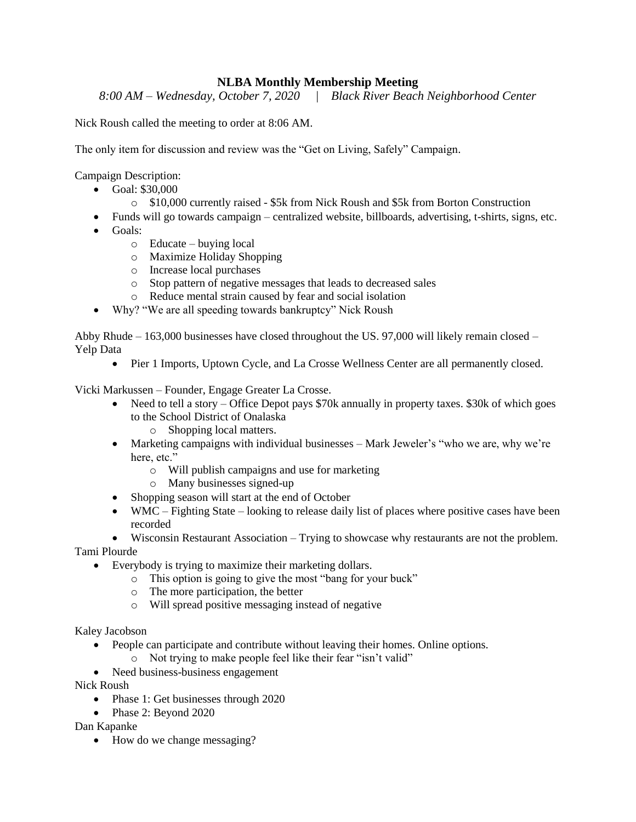## **NLBA Monthly Membership Meeting**

*8:00 AM – Wednesday, October 7, 2020 | Black River Beach Neighborhood Center*

Nick Roush called the meeting to order at 8:06 AM.

The only item for discussion and review was the "Get on Living, Safely" Campaign.

Campaign Description:

- Goal: \$30,000
	- o \$10,000 currently raised \$5k from Nick Roush and \$5k from Borton Construction
- Funds will go towards campaign centralized website, billboards, advertising, t-shirts, signs, etc.
- Goals:
	- o Educate buying local
	- o Maximize Holiday Shopping
	- o Increase local purchases
	- o Stop pattern of negative messages that leads to decreased sales
	- o Reduce mental strain caused by fear and social isolation
- Why? "We are all speeding towards bankruptcy" Nick Roush

Abby Rhude – 163,000 businesses have closed throughout the US. 97,000 will likely remain closed – Yelp Data

• Pier 1 Imports, Uptown Cycle, and La Crosse Wellness Center are all permanently closed.

Vicki Markussen – Founder, Engage Greater La Crosse.

- Need to tell a story Office Depot pays \$70k annually in property taxes. \$30k of which goes to the School District of Onalaska
	- o Shopping local matters.
- Marketing campaigns with individual businesses Mark Jeweler's "who we are, why we're here, etc."
	- o Will publish campaigns and use for marketing
	- o Many businesses signed-up
- Shopping season will start at the end of October
- WMC Fighting State looking to release daily list of places where positive cases have been recorded

 Wisconsin Restaurant Association – Trying to showcase why restaurants are not the problem. Tami Plourde

- Everybody is trying to maximize their marketing dollars.
	- o This option is going to give the most "bang for your buck"
	- o The more participation, the better
	- o Will spread positive messaging instead of negative

Kaley Jacobson

- People can participate and contribute without leaving their homes. Online options.
	- o Not trying to make people feel like their fear "isn't valid"
- Need business-business engagement

Nick Roush

- Phase 1: Get businesses through 2020
- Phase 2: Beyond 2020

Dan Kapanke

• How do we change messaging?